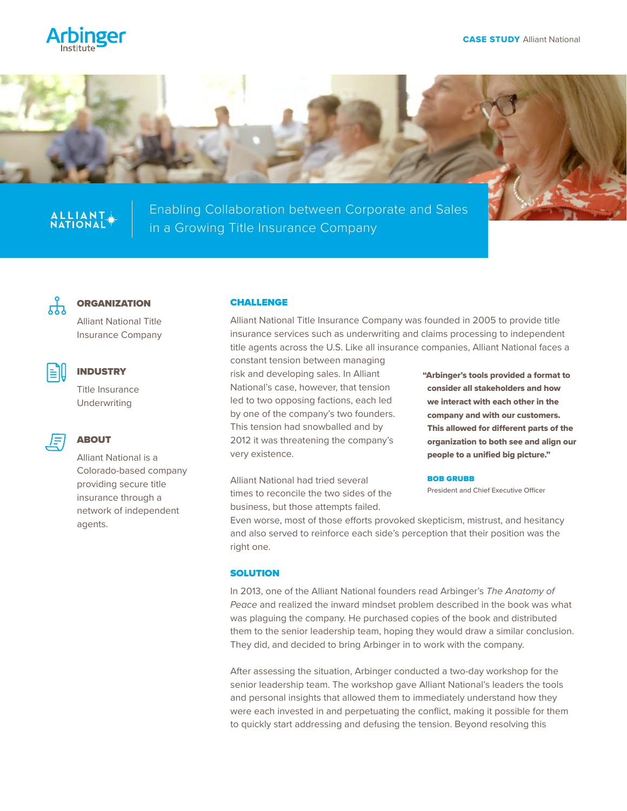





# ALLIANT

Enabling Collaboration between Corporate and Sales in a Growing Title Insurance Company



#### **ORGANIZATION**

Alliant National Title Insurance Company



### INDUSTRY

Title Insurance Underwriting

## ABOUT

Alliant National is a Colorado-based company providing secure title insurance through a network of independent agents.

#### CHALLENGE

Alliant National Title Insurance Company was founded in 2005 to provide title insurance services such as underwriting and claims processing to independent title agents across the U.S. Like all insurance companies, Alliant National faces a

constant tension between managing risk and developing sales. In Alliant National's case, however, that tension led to two opposing factions, each led by one of the company's two founders. This tension had snowballed and by 2012 it was threatening the company's very existence.

Alliant National had tried several times to reconcile the two sides of the business, but those attempts failed.

"Arbinger's tools provided a format to consider all stakeholders and how we interact with each other in the company and with our customers. This allowed for different parts of the organization to both see and align our people to a unified big picture."

#### BOB GRUBB

President and Chief Executive Officer

Even worse, most of those efforts provoked skepticism, mistrust, and hesitancy and also served to reinforce each side's perception that their position was the right one.

#### **SOLUTION**

In 2013, one of the Alliant National founders read Arbinger's *The Anatomy of Peace* and realized the inward mindset problem described in the book was what was plaguing the company. He purchased copies of the book and distributed them to the senior leadership team, hoping they would draw a similar conclusion. They did, and decided to bring Arbinger in to work with the company.

After assessing the situation, Arbinger conducted a two-day workshop for the senior leadership team. The workshop gave Alliant National's leaders the tools and personal insights that allowed them to immediately understand how they were each invested in and perpetuating the conflict, making it possible for them to quickly start addressing and defusing the tension. Beyond resolving this